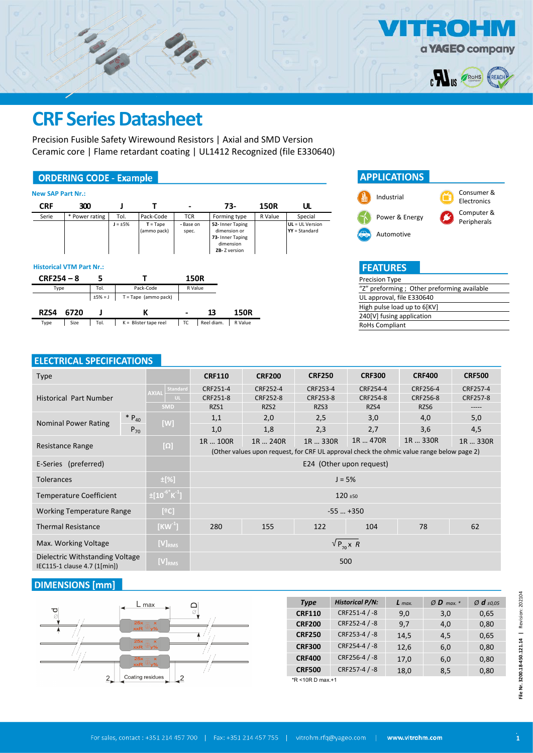

Precision Fusible Safety Wirewound Resistors | Axial and SMD Version Ceramic core | Flame retardant coating | UL1412 Recognized (file E330640)

### **ORDERING CODE - Example**

| <b>New SAP Part Nr.:</b>        |                |           |              |                           |                    |            |                                                                                   |             |                                    |
|---------------------------------|----------------|-----------|--------------|---------------------------|--------------------|------------|-----------------------------------------------------------------------------------|-------------|------------------------------------|
| <b>CRF</b>                      | 300            |           |              |                           | $\,$               |            | 73-                                                                               | <b>150R</b> | ul                                 |
| Serie                           | * Power rating |           | Tol.         | Pack-Code                 | <b>TCR</b>         |            | Forming type                                                                      | R Value     | Special                            |
|                                 |                |           | $J = \pm 5%$ | $T = Tape$<br>(ammo pack) | - Base on<br>spec. |            | 52- Inner Taping<br>dimension or<br>73- Inner Taping<br>dimension<br>ZB-Z version |             | UL = UL Version<br>$YY = Standard$ |
| <b>Historical VTM Part Nr.:</b> |                |           |              |                           |                    |            |                                                                                   |             |                                    |
| $CRF254 - 8$                    |                | 5         |              |                           | <b>150R</b>        |            |                                                                                   |             |                                    |
| Type                            |                | Tol.      |              | Pack-Code                 | R Value            |            |                                                                                   |             |                                    |
|                                 |                | $±5% = J$ |              | $T = Tape (ammo pack)$    |                    |            |                                                                                   |             |                                    |
| RZS4                            | 6720           | J         |              | К                         |                    | 13         | <b>150R</b>                                                                       |             |                                    |
| Type                            | Size           | Tol.      |              | $K =$ Blister tape reel   | ТC                 | Reel diam. | R Value                                                                           |             |                                    |



| <b>FEATURES</b>                            |
|--------------------------------------------|
| Precision Type                             |
| "Z" preforming; Other preforming available |
| UL approval, file E330640                  |
| High pulse load up to 6[KV]                |
| 240[V] fusing application                  |
| RoHs Compliant                             |

### **FIFCTRICAL SPECIFICATIONS**

| <b>Type</b>                                                     |                           | <b>CRF110</b>                  | <b>CRF200</b>                                                                             | <b>CRF250</b>            | <b>CRF300</b>    | <b>CRF400</b>    | <b>CRF500</b>     |  |
|-----------------------------------------------------------------|---------------------------|--------------------------------|-------------------------------------------------------------------------------------------|--------------------------|------------------|------------------|-------------------|--|
|                                                                 | Standard<br><b>AXIAL</b>  | CRF251-4                       | CRF252-4                                                                                  | CRF253-4                 | CRF254-4         | CRF256-4         | CRF257-4          |  |
| <b>Historical Part Number</b>                                   | UL.<br><b>SMD</b>         | CRF251-8<br>RZS1               | CRF252-8<br>RZS2                                                                          | CRF253-8<br>RZS3         | CRF254-8<br>RZS4 | CRF256-8<br>RZS6 | CRF257-8<br>----- |  |
| $* P_{40}$                                                      |                           | 1,1                            | 2,0                                                                                       | 2,5                      | 3,0              | 4,0              | 5,0               |  |
| <b>Nominal Power Rating</b><br>$P_{70}$                         | [W]                       | 1,0                            | 1,8                                                                                       | 2,3                      | 2,7              | 3,6              | 4,5               |  |
| Resistance Range                                                | $[\Omega]$                | 1R  100R                       | 1R  240R                                                                                  | 1R  330R                 | 1R  470R         | 1R  330R         | 1R  330R          |  |
|                                                                 |                           |                                | (Other values upon request, for CRF UL approval check the ohmic value range below page 2) |                          |                  |                  |                   |  |
| E-Series (preferred)                                            |                           |                                |                                                                                           | E24 (Other upon request) |                  |                  |                   |  |
| <b>Tolerances</b>                                               | $\pm$ [%]                 |                                |                                                                                           | $J = 5%$                 |                  |                  |                   |  |
| <b>Temperature Coefficient</b>                                  | $\pm [10^{-6}$ K $^{-1}]$ | $120 \pm 50$                   |                                                                                           |                          |                  |                  |                   |  |
| <b>Working Temperature Range</b>                                | [°C]                      |                                |                                                                                           | $-55$ $+350$             |                  |                  |                   |  |
| <b>Thermal Resistance</b>                                       | $[KW^1]$                  | 280<br>122<br>78<br>155<br>104 |                                                                                           |                          |                  |                  |                   |  |
| Max. Working Voltage                                            | $[V]_{RMS}$               | $\sqrt{P_{70}}$ x R            |                                                                                           |                          |                  |                  |                   |  |
| Dielectric Withstanding Voltage<br>IEC115-1 clause 4.7 (1[min]) | $[V]_{RMS}$               | 500                            |                                                                                           |                          |                  |                  |                   |  |

### **DIMENSIONS** [mm]



| <b>Type</b>      | <b>Historical P/N:</b> | $L$ max. | $Ø$ <b>D</b> max. * | $\varnothing$ d $\pm 0.05$ |
|------------------|------------------------|----------|---------------------|----------------------------|
| <b>CRF110</b>    | CRF251-4 / -8          | 9,0      | 3,0                 | 0,65                       |
| <b>CRF200</b>    | CRF252-4 / -8          | 9,7      | 4,0                 | 0,80                       |
| <b>CRF250</b>    | CRF253-4 / -8          | 14,5     | 4,5                 | 0,65                       |
| <b>CRF300</b>    | CRF254-4 / -8          | 12,6     | 6,0                 | 0,80                       |
| <b>CRF400</b>    | CRF256-4 / -8          | 17,0     | 6,0                 | 0,80                       |
| <b>CRF500</b>    | CRF257-4 / -8          | 18,0     | 8,5                 | 0,80                       |
| *R <10R D max.+1 |                        |          |                     |                            |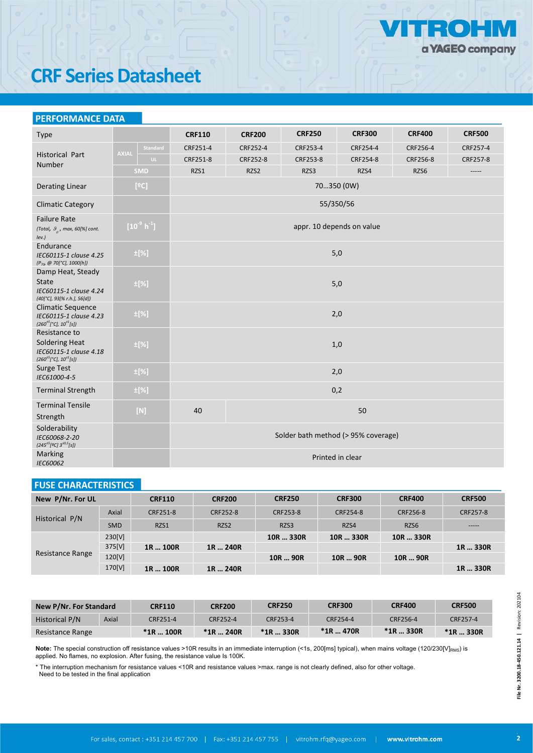

#### **PERFORMANCE DATA**

| Type                                                                                                     |                          | <b>CRF110</b>                       | <b>CRF200</b> | <b>CRF250</b>             | <b>CRF300</b>    | <b>CRF400</b> | <b>CRF500</b> |  |  |  |  |  |
|----------------------------------------------------------------------------------------------------------|--------------------------|-------------------------------------|---------------|---------------------------|------------------|---------------|---------------|--|--|--|--|--|
|                                                                                                          | Standard<br><b>AXIAL</b> | CRF251-4                            | CRF252-4      | CRF253-4                  | CRF254-4         | CRF256-4      | CRF257-4      |  |  |  |  |  |
| <b>Historical Part</b><br>Number                                                                         | UL.                      | CRF251-8                            | CRF252-8      | CRF253-8                  | CRF254-8         | CRF256-8      | CRF257-8      |  |  |  |  |  |
|                                                                                                          | <b>SMD</b>               | RZS1                                | RZS2          | RZS3                      | RZS4             | RZS6          | -----         |  |  |  |  |  |
| <b>Derating Linear</b>                                                                                   | [°C]                     |                                     | 70350 (0W)    |                           |                  |               |               |  |  |  |  |  |
| <b>Climatic Category</b>                                                                                 |                          |                                     |               |                           | 55/350/56        |               |               |  |  |  |  |  |
| <b>Failure Rate</b><br>(Total, $\theta$ <sub>o</sub> , max, 60[%] cont.<br>$lev.$ )                      | $[10^{9} h^1]$           |                                     |               | appr. 10 depends on value |                  |               |               |  |  |  |  |  |
| Endurance<br>IEC60115-1 clause 4.25<br>(P <sub>70</sub> @ 70[°C], 1000[h])                               | $\pm$ [%]                |                                     |               |                           | 5,0              |               |               |  |  |  |  |  |
| Damp Heat, Steady<br><b>State</b><br>IEC60115-1 clause 4.24<br>$(40[^{\circ}C], 93[% r.h.], 56[d])$      | $\pm$ [%]                |                                     |               |                           | 5,0              |               |               |  |  |  |  |  |
| <b>Climatic Sequence</b><br>IEC60115-1 clause 4.23<br>$(260\pm 5[°C], 10\pm 1[s])$                       | $\pm$ [%]                |                                     |               |                           | 2,0              |               |               |  |  |  |  |  |
| Resistance to<br><b>Soldering Heat</b><br>IEC60115-1 clause 4.18<br>$(260^{\pm 5} [°C], 10^{\pm 1} [s])$ | $\pm$ [%]                |                                     |               | 1,0                       |                  |               |               |  |  |  |  |  |
| <b>Surge Test</b><br>IEC61000-4-5                                                                        | $\pm$ [%]                |                                     |               |                           | 2,0              |               |               |  |  |  |  |  |
| <b>Terminal Strength</b>                                                                                 | $\pm$ [%]                |                                     |               |                           | 0,2              |               |               |  |  |  |  |  |
| <b>Terminal Tensile</b><br>Strength                                                                      | $[N]$                    | 40<br>50                            |               |                           |                  |               |               |  |  |  |  |  |
| Solderability<br>IEC60068-2-20<br>$(245^{\pm 5} [$ <sup>2</sup> C] $3^{\pm 0.5} [s])$                    |                          | Solder bath method (> 95% coverage) |               |                           |                  |               |               |  |  |  |  |  |
| Marking<br>IEC60062                                                                                      |                          |                                     |               |                           | Printed in clear |               |               |  |  |  |  |  |

### **FUSE CHARACTERISTICS**

| New P/Nr. For UL |            | <b>CRF110</b> | <b>CRF200</b>    | <b>CRF250</b> | <b>CRF300</b> | <b>CRF400</b> | <b>CRF500</b> |
|------------------|------------|---------------|------------------|---------------|---------------|---------------|---------------|
| Historical P/N   | Axial      | CRF251-8      | CRF252-8         | CRF253-8      | CRF254-8      | CRF256-8      | CRF257-8      |
|                  | <b>SMD</b> | RZS1          | RZS <sub>2</sub> | RZS3          | RZS4          | RZS6          | -----         |
|                  | 230[V]     |               |                  | 10R  330R     | 10R  330R     | 10R  330R     |               |
|                  | 375[V]     | 1R  100R      | 1R  240R         |               |               |               | 1R  330R      |
| Resistance Range | 120[V]     |               |                  | 10R  90R      | 10R  90R      | 10R  90R      |               |
|                  | 170[V]     | 1R  100R      | 1R  240R         |               |               |               | 1R  330R      |

| New P/Nr. For Standard |       | <b>CRF110</b> | <b>CRF200</b> | <b>CRF250</b> | <b>CRF300</b> | <b>CRF400</b> | <b>CRF500</b> |
|------------------------|-------|---------------|---------------|---------------|---------------|---------------|---------------|
| Historical P/N         | Axial | CRF251-4      | CRF252-4      | CRF253-4      | CRF254-4      | CRF256-4      | CRF257-4      |
| Resistance Range       |       | $*1R$ 100R    | $*1R$ 240R    | $*$ 1R  330R  | $*1R$ 470R    | $*$ 1R  330R  | $*$ 1R  330R  |

Note: The special construction off resistance values >10R results in an immediate interruption (<1s, 200[ms] typical), when mains voltage (120/230[V]<sub>RMS</sub>) is applied. No flames, no explosion. After fusing, the resistance value Is 100K.

\* The interruption mechanism for resistance values <10R and resistance values >max. range is not clearly defined, also for other voltage. Need to be tested in the final application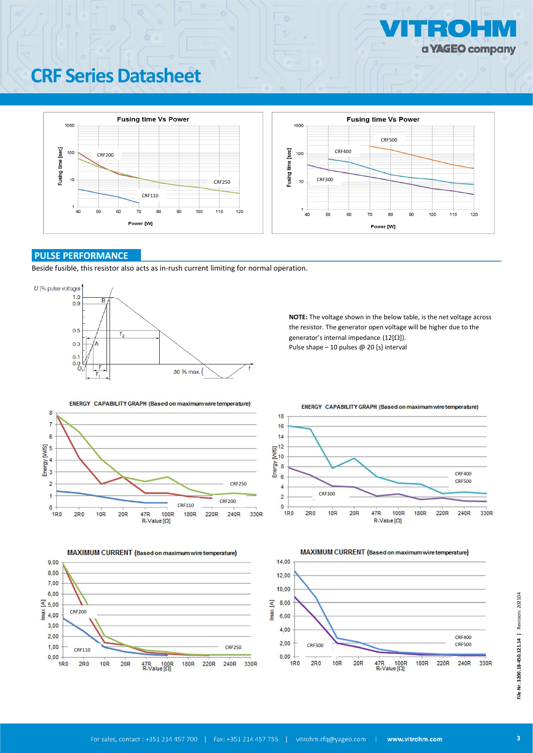



#### **PULSE PERFORMANCE**

Beside fusible, this resistor also acts as in-rush current limiting for normal operation.



**NOTE:** The voltage shown in the below table, is the net voltage across the resistor. The generator open voltage will be higher due to the generator's internal impedance (12[Ω]). Pulse shape – 10 pulses @ 20 [s] interval

ENERGY CAPABILITY GRAPH (Based on maximum wire temperature)







MAXIMUM CURRENT (Based on maximum wire temperature) 14.00 12,00 10.00 8,00 6,00  $4,00$ CRF400<br>CRF500 CRF250 <sup>2</sup>,00 <sup>2</sup> CRF300 CRF500  $0.00$ 1R<sub>0</sub> 180R **220R** 240R 330R  $2R<sub>0</sub>$  $10R$  $20R$  $47R$  100R<br>R-Value  $[\Omega]$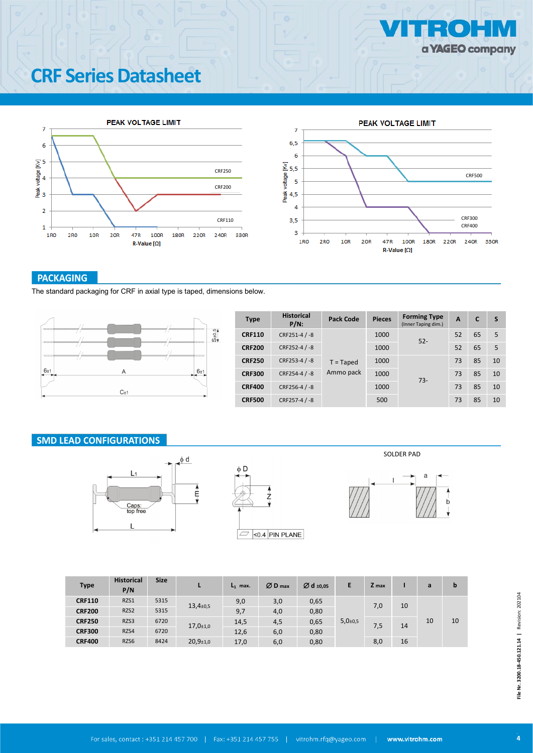



#### **PACKAGING**

The standard packaging for CRF in axial type is taped, dimensions below.



| <b>Type</b>   | <b>Historical</b><br>$P/N$ : | Pack Code   | <b>Pieces</b> | <b>Forming Type</b><br>(Inner Taping dim.) | A  | C  | S  |
|---------------|------------------------------|-------------|---------------|--------------------------------------------|----|----|----|
| <b>CRF110</b> | CRF251-4 / -8                |             | 1000          | $52 -$                                     | 52 | 65 | 5  |
| <b>CRF200</b> | CRF252-4 / -8                |             | 1000          |                                            | 52 | 65 | 5  |
| <b>CRF250</b> | CRF253-4 / -8                | $T = Taped$ | 1000          |                                            | 73 | 85 | 10 |
| <b>CRF300</b> | CRF254-4 / -8                | Ammo pack   | 1000          | $73-$                                      | 73 | 85 | 10 |
| <b>CRF400</b> | CRF256-4 / -8                |             | 1000          |                                            | 73 | 85 | 10 |
| <b>CRF500</b> | CRF257-4 / -8                |             | 500           |                                            | 73 | 85 | 10 |

#### **SMD LEAD CONFIGURATIONS**





SOLDER PAD



| <b>Type</b>   | <b>Historical</b><br>P/N | <b>Size</b> |                             | $L_1$ max. | $ØD$ max | $\varnothing$ d ±0,05 | E                          | Z max |    | a  | b  |
|---------------|--------------------------|-------------|-----------------------------|------------|----------|-----------------------|----------------------------|-------|----|----|----|
| <b>CRF110</b> | RZS1                     | 5315        | $13,4{\scriptstyle \pm0,5}$ | 9,0        | 3,0      | 0,65                  |                            | 7,0   | 10 |    |    |
| <b>CRF200</b> | RZS2                     | 5315        |                             | 9,7        | 4,0      | 0,80                  |                            |       |    |    |    |
| <b>CRF250</b> | RZS3                     | 6720        | $17,0+1,0$                  | 14,5       | 4,5      | 0,65                  | $5,0{\scriptstyle \pm0,5}$ | 7,5   | 14 | 10 | 10 |
| <b>CRF300</b> | RZS4                     | 6720        |                             | 12,6       | 6,0      | 0,80                  |                            |       |    |    |    |
| <b>CRF400</b> | RZS6                     | 8424        | $20,9{\pm}1,0$              | 17,0       | 6,0      | 0,80                  |                            | 8,0   | 16 |    |    |